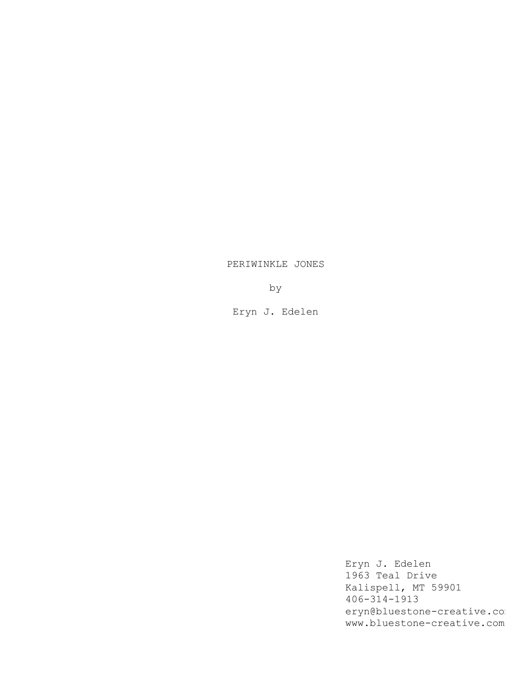## PERIWINKLE JONES

by

Eryn J. Edelen

Eryn J. Edelen 1963 Teal Drive Kalispell, MT 59901 406-314-1913 eryn@bluestone-creative.com www.bluestone-creative.com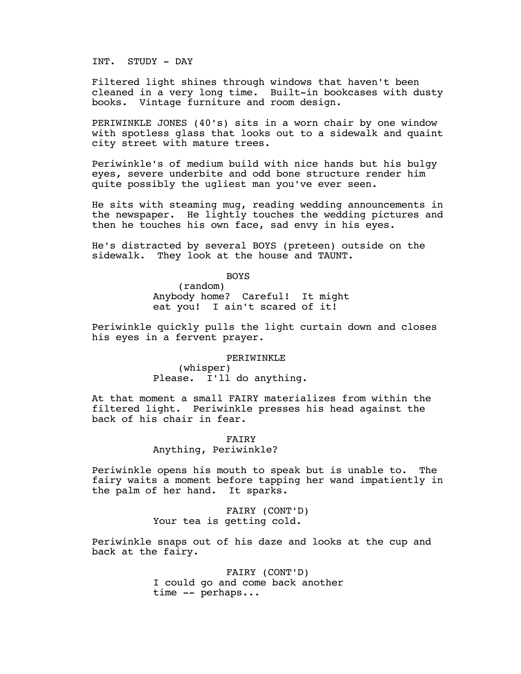INT. STUDY - DAY

Filtered light shines through windows that haven't been cleaned in a very long time. Built-in bookcases with dusty books. Vintage furniture and room design.

PERIWINKLE JONES (40's) sits in a worn chair by one window with spotless glass that looks out to a sidewalk and quaint city street with mature trees.

Periwinkle's of medium build with nice hands but his bulgy eyes, severe underbite and odd bone structure render him quite possibly the ugliest man you've ever seen.

He sits with steaming mug, reading wedding announcements in the newspaper. He lightly touches the wedding pictures and then he touches his own face, sad envy in his eyes.

He's distracted by several BOYS (preteen) outside on the sidewalk. They look at the house and TAUNT.

BOYS

(random) Anybody home? Careful! It might eat you! I ain't scared of it!

Periwinkle quickly pulls the light curtain down and closes his eyes in a fervent prayer.

PERIWINKLE

(whisper) Please. I'll do anything.

At that moment a small FAIRY materializes from within the filtered light. Periwinkle presses his head against the back of his chair in fear.

> FAIRY Anything, Periwinkle?

Periwinkle opens his mouth to speak but is unable to. The fairy waits a moment before tapping her wand impatiently in the palm of her hand. It sparks.

> FAIRY (CONT'D) Your tea is getting cold.

Periwinkle snaps out of his daze and looks at the cup and back at the fairy.

> FAIRY (CONT'D) I could go and come back another time -- perhaps...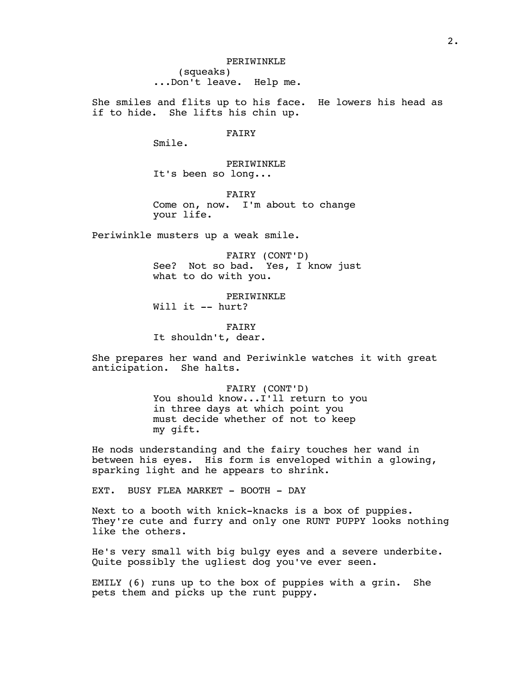PERIWINKLE (squeaks) ...Don't leave. Help me.

She smiles and flits up to his face. He lowers his head as if to hide. She lifts his chin up.

FAIRY

Smile.

PERIWINKLE It's been so long...

FAIRY Come on, now. I'm about to change your life.

Periwinkle musters up a weak smile.

FAIRY (CONT'D) See? Not so bad. Yes, I know just what to do with you.

PERIWINKLE Will it -- hurt?

FAIRY It shouldn't, dear.

She prepares her wand and Periwinkle watches it with great anticipation. She halts.

> FAIRY (CONT'D) You should know...I'll return to you in three days at which point you must decide whether of not to keep my gift.

He nods understanding and the fairy touches her wand in between his eyes. His form is enveloped within a glowing, sparking light and he appears to shrink.

EXT. BUSY FLEA MARKET - BOOTH - DAY

Next to a booth with knick-knacks is a box of puppies. They're cute and furry and only one RUNT PUPPY looks nothing like the others.

He's very small with big bulgy eyes and a severe underbite. Quite possibly the ugliest dog you've ever seen.

EMILY (6) runs up to the box of puppies with a grin. She pets them and picks up the runt puppy.